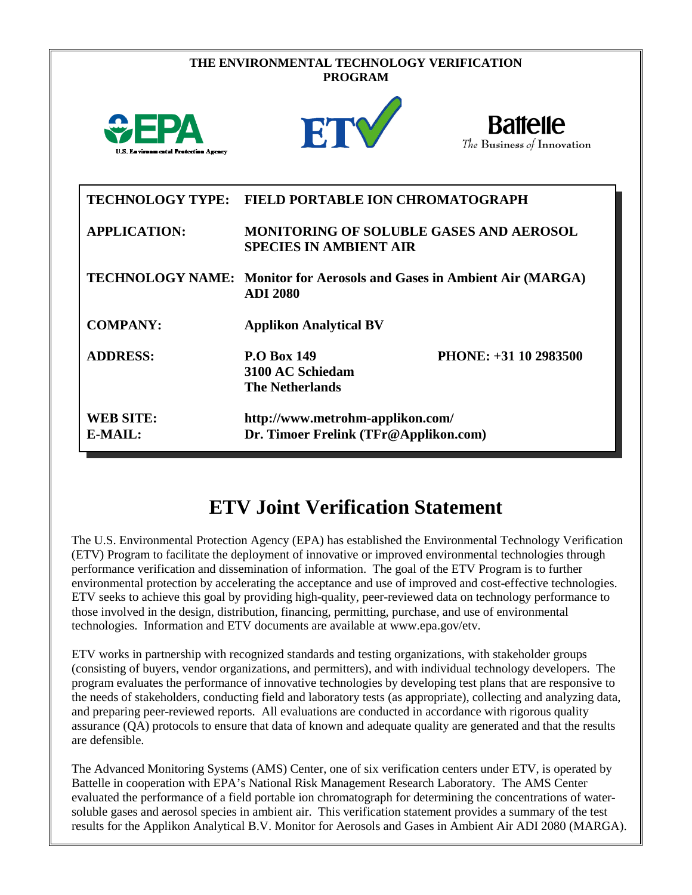|                                             | THE ENVIRONMENTAL TECHNOLOGY VERIFICATION<br><b>PROGRAM</b>               |                                                                        |
|---------------------------------------------|---------------------------------------------------------------------------|------------------------------------------------------------------------|
| <b>U.S. Environmental Protection Agency</b> | ETY                                                                       | <b>Battelle</b><br>The Business of Innovation                          |
| <b>TECHNOLOGY TYPE:</b>                     | <b>FIELD PORTABLE ION CHROMATOGRAPH</b>                                   |                                                                        |
| <b>APPLICATION:</b>                         | <b>SPECIES IN AMBIENT AIR</b>                                             | <b>MONITORING OF SOLUBLE GASES AND AEROSOL</b>                         |
|                                             | <b>ADI 2080</b>                                                           | TECHNOLOGY NAME: Monitor for Aerosols and Gases in Ambient Air (MARGA) |
| <b>COMPANY:</b>                             | <b>Applikon Analytical BV</b>                                             |                                                                        |
| <b>ADDRESS:</b>                             | <b>P.O Box 149</b><br>3100 AC Schiedam<br><b>The Netherlands</b>          | PHONE: +31 10 2983500                                                  |
| <b>WEB SITE:</b><br>E-MAIL:                 | http://www.metrohm-applikon.com/<br>Dr. Timoer Frelink (TFr@Applikon.com) |                                                                        |

# **ETV Joint Verification Statement**

The U.S. Environmental Protection Agency (EPA) has established the Environmental Technology Verification (ETV) Program to facilitate the deployment of innovative or improved environmental technologies through performance verification and dissemination of information. The goal of the ETV Program is to further environmental protection by accelerating the acceptance and use of improved and cost-effective technologies. ETV seeks to achieve this goal by providing high-quality, peer-reviewed data on technology performance to those involved in the design, distribution, financing, permitting, purchase, and use of environmental technologies. Information and ETV documents are available at www.epa.gov/etv.

ETV works in partnership with recognized standards and testing organizations, with stakeholder groups (consisting of buyers, vendor organizations, and permitters), and with individual technology developers. The program evaluates the performance of innovative technologies by developing test plans that are responsive to the needs of stakeholders, conducting field and laboratory tests (as appropriate), collecting and analyzing data, and preparing peer-reviewed reports. All evaluations are conducted in accordance with rigorous quality assurance (QA) protocols to ensure that data of known and adequate quality are generated and that the results are defensible.

The Advanced Monitoring Systems (AMS) Center, one of six verification centers under ETV, is operated by Battelle in cooperation with EPA's National Risk Management Research Laboratory. The AMS Center evaluated the performance of a field portable ion chromatograph for determining the concentrations of watersoluble gases and aerosol species in ambient air. This verification statement provides a summary of the test results for the Applikon Analytical B.V. Monitor for Aerosols and Gases in Ambient Air ADI 2080 (MARGA).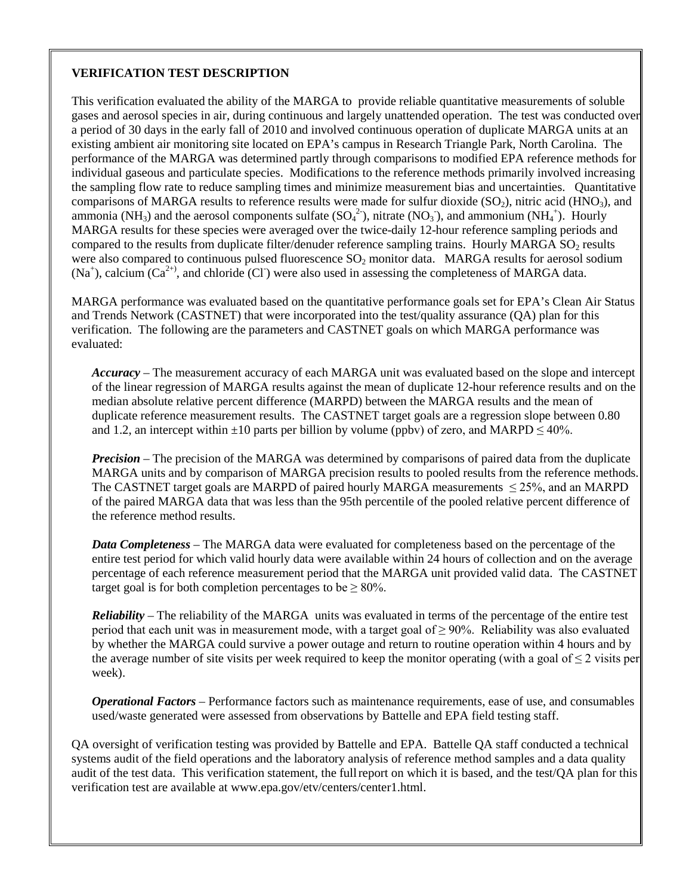#### **VERIFICATION TEST DESCRIPTION**

This verification evaluated the ability of the MARGA to provide reliable quantitative measurements of soluble gases and aerosol species in air, during continuous and largely unattended operation. The test was conducted over a period of 30 days in the early fall of 2010 and involved continuous operation of duplicate MARGA units at an existing ambient air monitoring site located on EPA's campus in Research Triangle Park, North Carolina. The performance of the MARGA was determined partly through comparisons to modified EPA reference methods for individual gaseous and particulate species. Modifications to the reference methods primarily involved increasing the sampling flow rate to reduce sampling times and minimize measurement bias and uncertainties. Quantitative comparisons of MARGA results to reference results were made for sulfur dioxide  $(SO_2)$ , nitric acid (HNO<sub>3</sub>), and ammonia (NH<sub>3</sub>) and the aerosol components sulfate  $(SO_4^2)$ , nitrate (NO<sub>3</sub>), and ammonium (NH<sub>4</sub><sup>+</sup>). Hourly MARGA results for these species were averaged over the twice-daily 12-hour reference sampling periods and compared to the results from duplicate filter/denuder reference sampling trains. Hourly MARGA  $SO<sub>2</sub>$  results were also compared to continuous pulsed fluorescence  $SO<sub>2</sub>$  monitor data. MARGA results for aerosol sodium  $(Na^{+})$ , calcium  $(Ca^{2+})$ , and chloride  $(CI)$  were also used in assessing the completeness of MARGA data.

MARGA performance was evaluated based on the quantitative performance goals set for EPA's Clean Air Status and Trends Network (CASTNET) that were incorporated into the test/quality assurance (QA) plan for this verification. The following are the parameters and CASTNET goals on which MARGA performance was evaluated:

*Accuracy* – The measurement accuracy of each MARGA unit was evaluated based on the slope and intercept of the linear regression of MARGA results against the mean of duplicate 12-hour reference results and on the median absolute relative percent difference (MARPD) between the MARGA results and the mean of duplicate reference measurement results. The CASTNET target goals are a regression slope between 0.80 and 1.2, an intercept within  $\pm 10$  parts per billion by volume (ppbv) of zero, and MARPD  $\leq 40\%$ .

*Precision* – The precision of the MARGA was determined by comparisons of paired data from the duplicate MARGA units and by comparison of MARGA precision results to pooled results from the reference methods. The CASTNET target goals are MARPD of paired hourly MARGA measurements  $\leq$  25%, and an MARPD of the paired MARGA data that was less than the 95th percentile of the pooled relative percent difference of the reference method results.

*Data Completeness* – The MARGA data were evaluated for completeness based on the percentage of the entire test period for which valid hourly data were available within 24 hours of collection and on the average percentage of each reference measurement period that the MARGA unit provided valid data. The CASTNET target goal is for both completion percentages to be  $\geq 80\%$ .

*Reliability* – The reliability of the MARGA units was evaluated in terms of the percentage of the entire test period that each unit was in measurement mode, with a target goal of  $\geq$  90%. Reliability was also evaluated by whether the MARGA could survive a power outage and return to routine operation within 4 hours and by the average number of site visits per week required to keep the monitor operating (with a goal of  $\leq 2$  visits per week).

*Operational Factors* – Performance factors such as maintenance requirements, ease of use, and consumables used/waste generated were assessed from observations by Battelle and EPA field testing staff.

QA oversight of verification testing was provided by Battelle and EPA. Battelle QA staff conducted a technical systems audit of the field operations and the laboratory analysis of reference method samples and a data quality audit of the test data. This verification statement, the fullreport on which it is based, and the test/QA plan for this verification test are available at www.epa.gov/etv/centers/center1.html.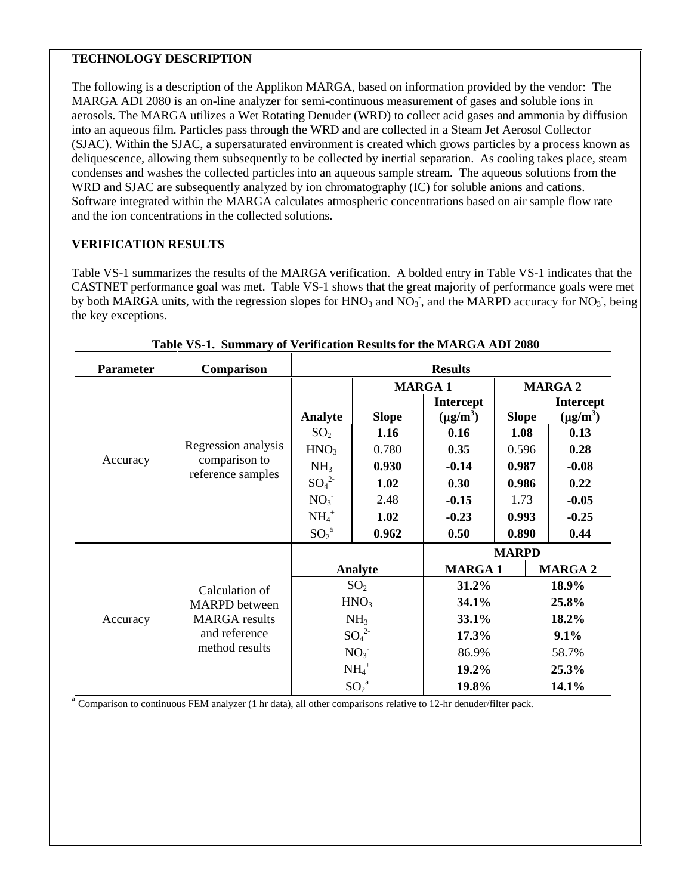## **TECHNOLOGY DESCRIPTION**

The following is a description of the Applikon MARGA, based on information provided by the vendor: The MARGA ADI 2080 is an on-line analyzer for semi-continuous measurement of gases and soluble ions in aerosols. The MARGA utilizes a Wet Rotating Denuder (WRD) to collect acid gases and ammonia by diffusion into an aqueous film. Particles pass through the WRD and are collected in a Steam Jet Aerosol Collector (SJAC). Within the SJAC, a supersaturated environment is created which grows particles by a process known as deliquescence, allowing them subsequently to be collected by inertial separation. As cooling takes place, steam condenses and washes the collected particles into an aqueous sample stream. The aqueous solutions from the WRD and SJAC are subsequently analyzed by ion chromatography (IC) for soluble anions and cations. Software integrated within the MARGA calculates atmospheric concentrations based on air sample flow rate and the ion concentrations in the collected solutions.

## **VERIFICATION RESULTS**

Table VS-1 summarizes the results of the MARGA verification. A bolded entry in Table VS-1 indicates that the CASTNET performance goal was met. Table VS-1 shows that the great majority of performance goals were met by both MARGA units, with the regression slopes for  $HNO_3$  and  $NO_3$ , and the MARPD accuracy for  $NO_3$ , being the key exceptions.

| <b>Parameter</b> | Comparison                                                                                        | <b>Results</b>               |              |                  |                |                  |
|------------------|---------------------------------------------------------------------------------------------------|------------------------------|--------------|------------------|----------------|------------------|
|                  |                                                                                                   |                              |              | <b>MARGA1</b>    | <b>MARGA 2</b> |                  |
| Accuracy         | Regression analysis<br>comparison to<br>reference samples                                         |                              |              | <b>Intercept</b> |                | <b>Intercept</b> |
|                  |                                                                                                   | Analyte                      | <b>Slope</b> | $(\mu g/m^3)$    | <b>Slope</b>   | $(\mu g/m^3)$    |
|                  |                                                                                                   | SO <sub>2</sub>              | 1.16         | 0.16             | 1.08           | 0.13             |
|                  |                                                                                                   | HNO <sub>3</sub>             | 0.780        | 0.35             | 0.596          | 0.28             |
|                  |                                                                                                   | NH <sub>3</sub>              | 0.930        | $-0.14$          | 0.987          | $-0.08$          |
|                  |                                                                                                   | $SO_4^2$                     | 1.02         | 0.30             | 0.986          | 0.22             |
|                  |                                                                                                   | NO <sub>3</sub>              | 2.48         | $-0.15$          | 1.73           | $-0.05$          |
|                  |                                                                                                   | $NH4+$                       | 1.02         | $-0.23$          | 0.993          | $-0.25$          |
|                  |                                                                                                   | ${SO_2}^a$                   | 0.962        | 0.50             | 0.890          | 0.44             |
|                  |                                                                                                   |                              |              |                  | <b>MARPD</b>   |                  |
| Accuracy         | Calculation of<br><b>MARPD</b> between<br><b>MARGA</b> results<br>and reference<br>method results | Analyte                      |              | <b>MARGA1</b>    |                | <b>MARGA 2</b>   |
|                  |                                                                                                   | SO <sub>2</sub>              |              | 31.2%            |                | 18.9%            |
|                  |                                                                                                   | HNO <sub>3</sub>             |              | 34.1%            |                | 25.8%            |
|                  |                                                                                                   | NH <sub>3</sub>              |              | 33.1%            |                | 18.2%            |
|                  |                                                                                                   | SO <sub>4</sub> <sup>2</sup> |              | 17.3%            |                | 9.1%             |
|                  |                                                                                                   | NO <sub>3</sub>              |              | 86.9%            |                | 58.7%            |
|                  |                                                                                                   | $NH4+$                       |              | 19.2%            |                | 25.3%            |
|                  |                                                                                                   | ${SO_2}^a$                   |              | 19.8%            |                | 14.1%            |

**Table VS-1. Summary of Verification Results for the MARGA ADI 2080**

 $a^2$  Comparison to continuous FEM analyzer (1 hr data), all other comparisons relative to 12-hr denuder/filter pack.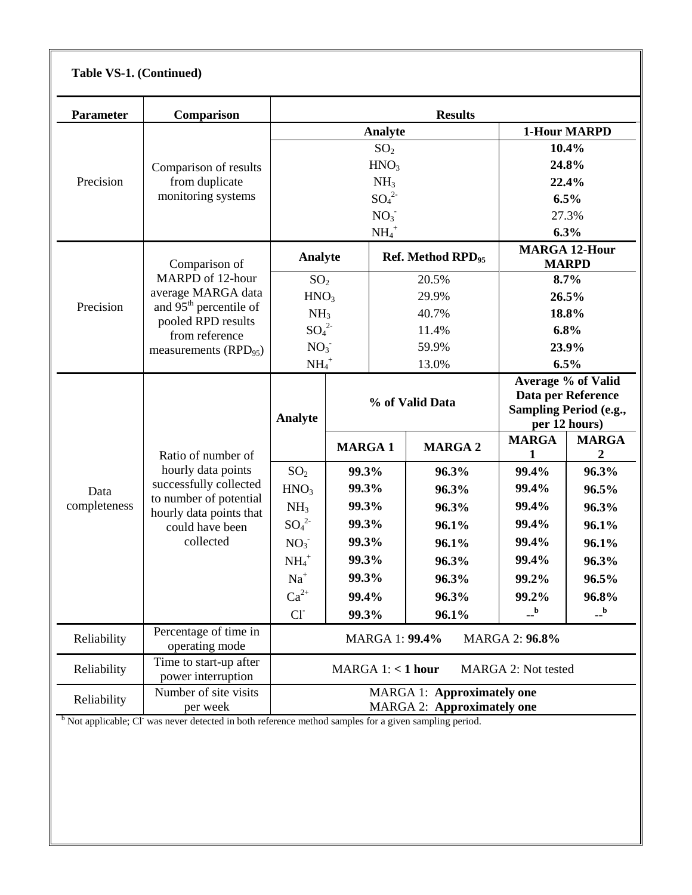| Comparison                                                                                                                                                         | <b>Results</b>                                                              |                 |                                 |                                             |                                                                                                                                                            |                   |
|--------------------------------------------------------------------------------------------------------------------------------------------------------------------|-----------------------------------------------------------------------------|-----------------|---------------------------------|---------------------------------------------|------------------------------------------------------------------------------------------------------------------------------------------------------------|-------------------|
|                                                                                                                                                                    |                                                                             |                 |                                 |                                             | <b>1-Hour MARPD</b>                                                                                                                                        |                   |
|                                                                                                                                                                    |                                                                             |                 |                                 |                                             | 10.4%                                                                                                                                                      |                   |
| Comparison of results<br>from duplicate<br>monitoring systems                                                                                                      | HNO <sub>3</sub>                                                            |                 |                                 |                                             | 24.8%                                                                                                                                                      |                   |
|                                                                                                                                                                    | NH <sub>3</sub>                                                             |                 |                                 |                                             | 22.4%                                                                                                                                                      |                   |
|                                                                                                                                                                    | $SO_4^2$                                                                    |                 |                                 |                                             | 6.5%                                                                                                                                                       |                   |
|                                                                                                                                                                    | NO <sub>3</sub>                                                             |                 |                                 |                                             | 27.3%                                                                                                                                                      |                   |
|                                                                                                                                                                    | $NH4+$                                                                      |                 |                                 |                                             | 6.3%                                                                                                                                                       |                   |
| Comparison of<br>MARPD of 12-hour<br>average MARGA data<br>and 95 <sup>th</sup> percentile of<br>pooled RPD results<br>from reference<br>measurements $(RPD_{95})$ | Analyte                                                                     |                 |                                 |                                             | <b>MARGA 12-Hour</b><br><b>MARPD</b>                                                                                                                       |                   |
|                                                                                                                                                                    |                                                                             | SO <sub>2</sub> |                                 | 20.5%                                       | 8.7%                                                                                                                                                       |                   |
|                                                                                                                                                                    | HNO <sub>3</sub>                                                            |                 | 29.9%                           |                                             | 26.5%                                                                                                                                                      |                   |
|                                                                                                                                                                    | NH <sub>3</sub>                                                             |                 | 40.7%                           |                                             | 18.8%                                                                                                                                                      |                   |
|                                                                                                                                                                    |                                                                             |                 | 11.4%                           |                                             | 6.8%                                                                                                                                                       |                   |
|                                                                                                                                                                    | NO <sub>3</sub>                                                             |                 | 59.9%                           |                                             | 23.9%                                                                                                                                                      |                   |
|                                                                                                                                                                    |                                                                             |                 |                                 |                                             | 6.5%                                                                                                                                                       |                   |
| Ratio of number of<br>hourly data points                                                                                                                           | Analyte                                                                     |                 | % of Valid Data                 |                                             | Average % of Valid<br>Data per Reference<br><b>Sampling Period (e.g.,</b><br>per 12 hours)                                                                 |                   |
|                                                                                                                                                                    |                                                                             |                 |                                 | <b>MARGA 2</b>                              | <b>MARGA</b>                                                                                                                                               | <b>MARGA</b><br>2 |
|                                                                                                                                                                    | SO <sub>2</sub>                                                             | 99.3%           |                                 | 96.3%                                       | 99.4%                                                                                                                                                      | 96.3%             |
|                                                                                                                                                                    | HNO <sub>3</sub>                                                            | 99.3%           |                                 | 96.3%                                       | 99.4%                                                                                                                                                      | 96.5%             |
|                                                                                                                                                                    | NH <sub>3</sub>                                                             | 99.3%           |                                 | 96.3%                                       | 99.4%                                                                                                                                                      | 96.3%             |
| could have been                                                                                                                                                    | $SO_4^2$                                                                    | 99.3%           |                                 | 96.1%                                       | 99.4%                                                                                                                                                      | 96.1%             |
| collected                                                                                                                                                          | NO <sub>3</sub>                                                             | 99.3%           |                                 | 96.1%                                       | 99.4%                                                                                                                                                      | 96.1%             |
|                                                                                                                                                                    | $NH_4^+$                                                                    | 99.3%           |                                 | 96.3%                                       | 99.4%                                                                                                                                                      | 96.3%             |
|                                                                                                                                                                    | $Na+$                                                                       | 99.3%           |                                 | 96.3%                                       | 99.2%                                                                                                                                                      | 96.5%             |
|                                                                                                                                                                    | $Ca^{2+}$                                                                   | 99.4%           |                                 | 96.3%                                       | 99.2%                                                                                                                                                      | 96.8%             |
|                                                                                                                                                                    | $Cl-$                                                                       | 99.3%           |                                 | 96.1%                                       | $\mathbf{a}$                                                                                                                                               | $\mathbf{a}$      |
| Percentage of time in<br>operating mode                                                                                                                            | MARGA 1: 99.4%<br><b>MARGA 2: 96.8%</b>                                     |                 |                                 |                                             |                                                                                                                                                            |                   |
| Time to start-up after<br>power interruption                                                                                                                       | MARGA 1: < 1 hour<br><b>MARGA 2: Not tested</b>                             |                 |                                 |                                             |                                                                                                                                                            |                   |
| Number of site visits<br>per week                                                                                                                                  | <b>MARGA 1: Approximately one</b><br><b>MARGA 2: Approximately one</b>      |                 |                                 |                                             |                                                                                                                                                            |                   |
|                                                                                                                                                                    | successfully collected<br>to number of potential<br>hourly data points that |                 | $SO_4^2$<br>$NH_4$ <sup>+</sup> | Analyte<br>SO <sub>2</sub><br><b>MARGA1</b> | Ref. Method RPD <sub>95</sub><br>13.0%<br><sup>b</sup> Not applicable; CI was never detected in both reference method samples for a given sampling period. |                   |